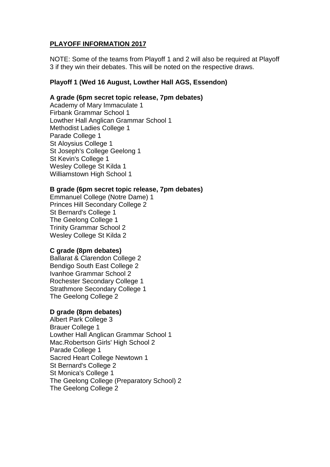# **PLAYOFF INFORMATION 2017**

NOTE: Some of the teams from Playoff 1 and 2 will also be required at Playoff 3 if they win their debates. This will be noted on the respective draws.

# **Playoff 1 (Wed 16 August, Lowther Hall AGS, Essendon)**

## **A grade (6pm secret topic release, 7pm debates)**

Academy of Mary Immaculate 1 Firbank Grammar School 1 Lowther Hall Anglican Grammar School 1 Methodist Ladies College 1 Parade College 1 St Aloysius College 1 St Joseph's College Geelong 1 St Kevin's College 1 Wesley College St Kilda 1 Williamstown High School 1

## **B grade (6pm secret topic release, 7pm debates)**

Emmanuel College (Notre Dame) 1 Princes Hill Secondary College 2 St Bernard's College 1 The Geelong College 1 Trinity Grammar School 2 Wesley College St Kilda 2

## **C grade (8pm debates)**

Ballarat & Clarendon College 2 Bendigo South East College 2 Ivanhoe Grammar School 2 Rochester Secondary College 1 Strathmore Secondary College 1 The Geelong College 2

## **D grade (8pm debates)**

Albert Park College 3 Brauer College 1 Lowther Hall Anglican Grammar School 1 Mac.Robertson Girls' High School 2 Parade College 1 Sacred Heart College Newtown 1 St Bernard's College 2 St Monica's College 1 The Geelong College (Preparatory School) 2 The Geelong College 2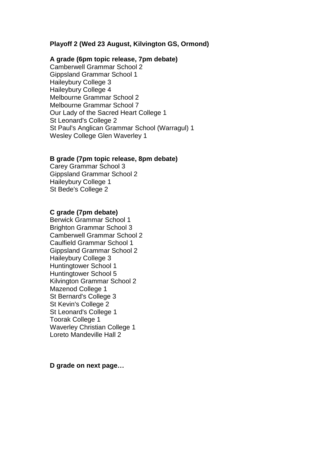## **Playoff 2 (Wed 23 August, Kilvington GS, Ormond)**

#### **A grade (6pm topic release, 7pm debate)**

Camberwell Grammar School 2 Gippsland Grammar School 1 Haileybury College 3 Haileybury College 4 Melbourne Grammar School 2 Melbourne Grammar School 7 Our Lady of the Sacred Heart College 1 St Leonard's College 2 St Paul's Anglican Grammar School (Warragul) 1 Wesley College Glen Waverley 1

#### **B grade (7pm topic release, 8pm debate)**

Carey Grammar School 3 Gippsland Grammar School 2 Haileybury College 1 St Bede's College 2

## **C grade (7pm debate)**

Berwick Grammar School 1 Brighton Grammar School 3 Camberwell Grammar School 2 Caulfield Grammar School 1 Gippsland Grammar School 2 Haileybury College 3 Huntingtower School 1 Huntingtower School 5 Kilvington Grammar School 2 Mazenod College 1 St Bernard's College 3 St Kevin's College 2 St Leonard's College 1 Toorak College 1 Waverley Christian College 1 Loreto Mandeville Hall 2

**D grade on next page…**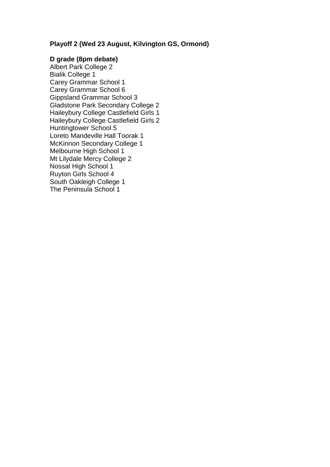# **Playoff 2 (Wed 23 August, Kilvington GS, Ormond)**

## **D grade (8pm debate)**

Albert Park College 2 Bialik College 1 Carey Grammar School 1 Carey Grammar School 6 Gippsland Grammar School 3 Gladstone Park Secondary College 2 Haileybury College Castlefield Girls 1 Haileybury College Castlefield Girls 2 Huntingtower School 5 Loreto Mandeville Hall Toorak 1 McKinnon Secondary College 1 Melbourne High School 1 Mt Lilydale Mercy College 2 Nossal High School 1 Ruyton Girls School 4 South Oakleigh College 1 The Peninsula School 1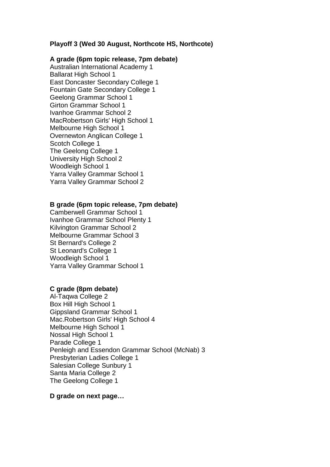## **Playoff 3 (Wed 30 August, Northcote HS, Northcote)**

#### **A grade (6pm topic release, 7pm debate)**

Australian International Academy 1 Ballarat High School 1 East Doncaster Secondary College 1 Fountain Gate Secondary College 1 Geelong Grammar School 1 Girton Grammar School 1 Ivanhoe Grammar School 2 MacRobertson Girls' High School 1 Melbourne High School 1 Overnewton Anglican College 1 Scotch College 1 The Geelong College 1 University High School 2 Woodleigh School 1 Yarra Valley Grammar School 1 Yarra Valley Grammar School 2

#### **B grade (6pm topic release, 7pm debate)**

Camberwell Grammar School 1 Ivanhoe Grammar School Plenty 1 Kilvington Grammar School 2 Melbourne Grammar School 3 St Bernard's College 2 St Leonard's College 1 Woodleigh School 1 Yarra Valley Grammar School 1

#### **C grade (8pm debate)**

Al-Taqwa College 2 Box Hill High School 1 Gippsland Grammar School 1 Mac.Robertson Girls' High School 4 Melbourne High School 1 Nossal High School 1 Parade College 1 Penleigh and Essendon Grammar School (McNab) 3 Presbyterian Ladies College 1 Salesian College Sunbury 1 Santa Maria College 2 The Geelong College 1

#### **D grade on next page…**